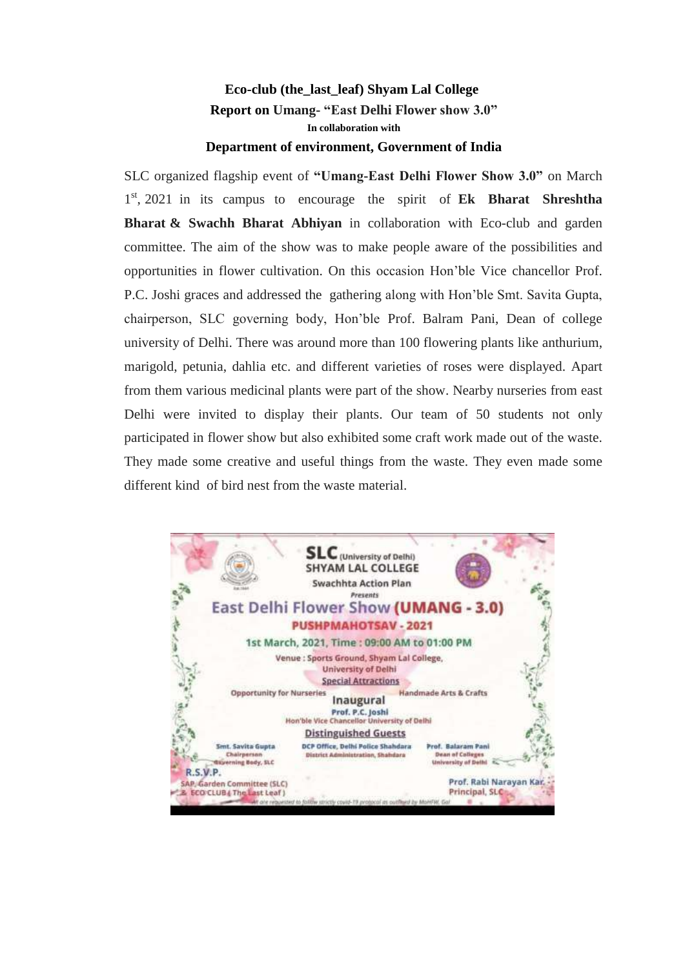## **Eco-club (the\_last\_leaf) Shyam Lal College Report on Umang- "East Delhi Flower show 3.0" In collaboration with Department of environment, Government of India**

SLC organized flagship event of **"Umang-East Delhi Flower Show 3.0"** on March 1 st , 2021 in its campus to encourage the spirit of **Ek Bharat Shreshtha Bharat & Swachh Bharat Abhiyan** in collaboration with Eco-club and garden committee. The aim of the show was to make people aware of the possibilities and opportunities in flower cultivation. On this occasion Hon'ble Vice chancellor Prof. P.C. Joshi graces and addressed the gathering along with Hon'ble Smt. Savita Gupta, chairperson, SLC governing body, Hon'ble Prof. Balram Pani, Dean of college university of Delhi. There was around more than 100 flowering plants like anthurium, marigold, petunia, dahlia etc. and different varieties of roses were displayed. Apart from them various medicinal plants were part of the show. Nearby nurseries from east Delhi were invited to display their plants. Our team of 50 students not only participated in flower show but also exhibited some craft work made out of the waste. They made some creative and useful things from the waste. They even made some different kind of bird nest from the waste material.

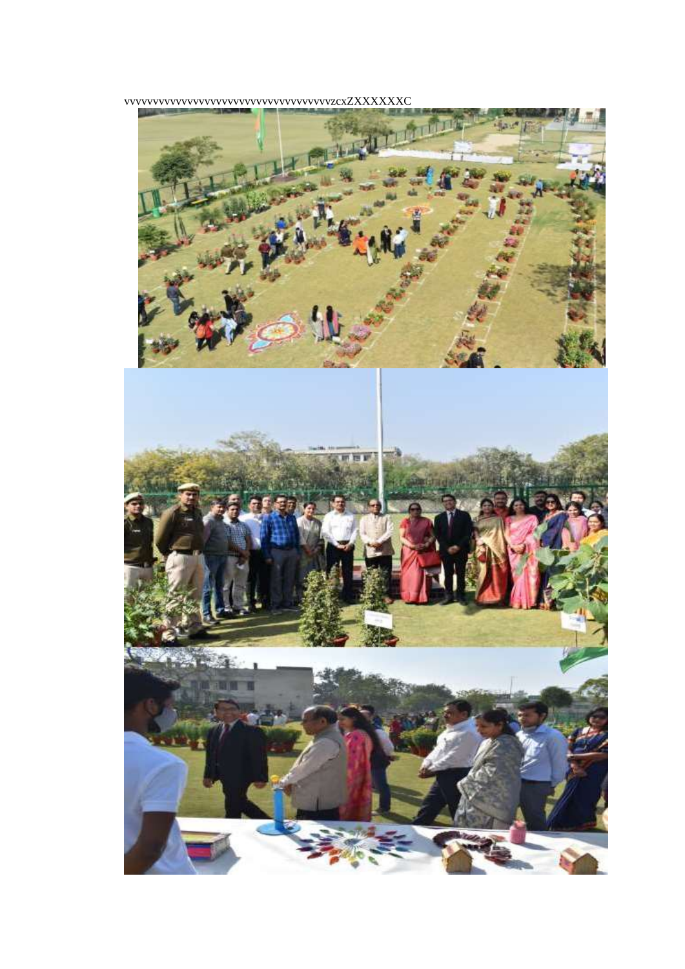

vvvvvvvvvvvvvvvvvvvvvvvvvvvvvvvvvvvvzcxZXXXXXXC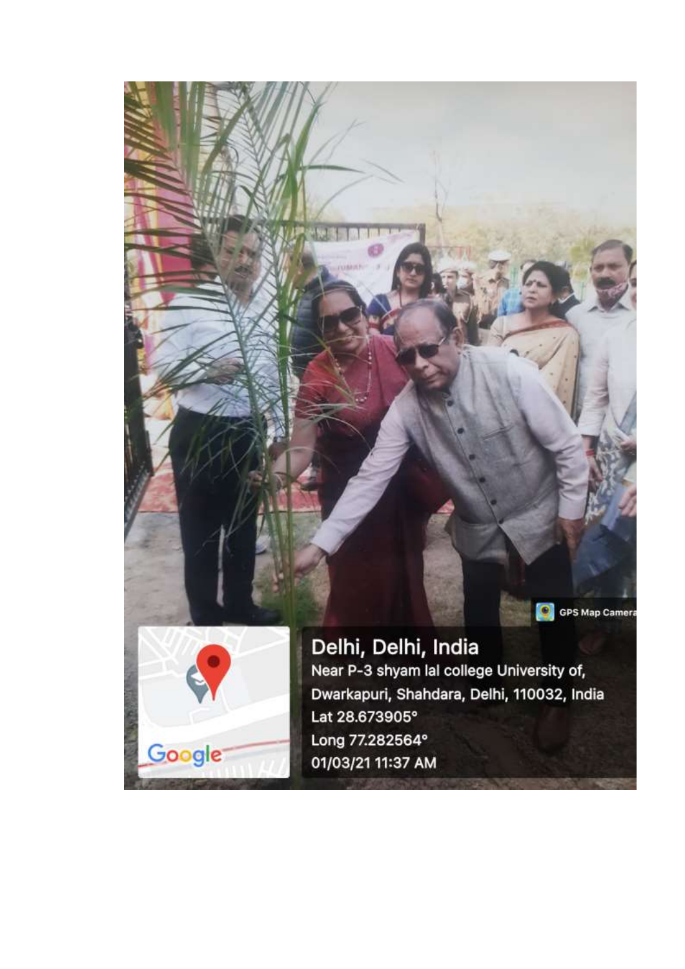